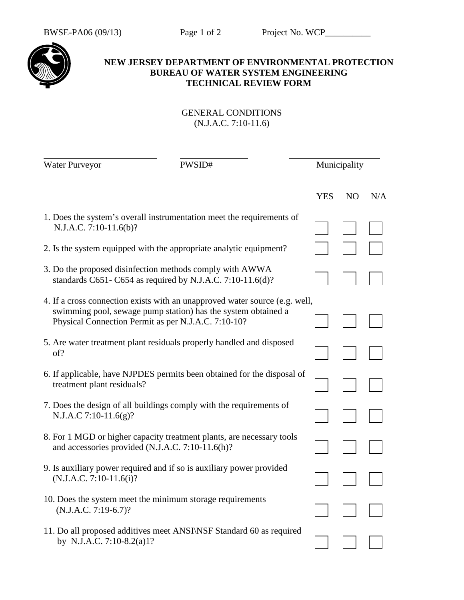

## **NEW JERSEY DEPARTMENT OF ENVIRONMENTAL PROTECTION BUREAU OF WATER SYSTEM ENGINEERING TECHNICAL REVIEW FORM**

## GENERAL CONDITIONS (N.J.A.C. 7:10-11.6)

| <b>Water Purveyor</b>                                                                           | PWSID#                                                                                                                                                                                              |            | Municipality   |     |  |
|-------------------------------------------------------------------------------------------------|-----------------------------------------------------------------------------------------------------------------------------------------------------------------------------------------------------|------------|----------------|-----|--|
|                                                                                                 |                                                                                                                                                                                                     | <b>YES</b> | N <sub>O</sub> | N/A |  |
| 1. Does the system's overall instrumentation meet the requirements of<br>N.J.A.C. 7:10-11.6(b)? |                                                                                                                                                                                                     |            |                |     |  |
|                                                                                                 | 2. Is the system equipped with the appropriate analytic equipment?                                                                                                                                  |            |                |     |  |
|                                                                                                 | 3. Do the proposed disinfection methods comply with AWWA<br>standards C651-C654 as required by N.J.A.C. 7:10-11.6(d)?                                                                               |            |                |     |  |
|                                                                                                 | 4. If a cross connection exists with an unapproved water source (e.g. well,<br>swimming pool, sewage pump station) has the system obtained a<br>Physical Connection Permit as per N.J.A.C. 7:10-10? |            |                |     |  |
| of?                                                                                             | 5. Are water treatment plant residuals properly handled and disposed                                                                                                                                |            |                |     |  |
| treatment plant residuals?                                                                      | 6. If applicable, have NJPDES permits been obtained for the disposal of                                                                                                                             |            |                |     |  |
| N.J.A.C 7:10-11.6(g)?                                                                           | 7. Does the design of all buildings comply with the requirements of                                                                                                                                 |            |                |     |  |
| and accessories provided (N.J.A.C. 7:10-11.6(h)?                                                | 8. For 1 MGD or higher capacity treatment plants, are necessary tools                                                                                                                               |            |                |     |  |
| $(N.J.A.C. 7:10-11.6(i)?$                                                                       | 9. Is auxiliary power required and if so is auxiliary power provided                                                                                                                                |            |                |     |  |
| $(N.J.A.C. 7:19-6.7)?$                                                                          | 10. Does the system meet the minimum storage requirements                                                                                                                                           |            |                |     |  |
| by N.J.A.C. 7:10-8.2(a)1?                                                                       | 11. Do all proposed additives meet ANSI\NSF Standard 60 as required                                                                                                                                 |            |                |     |  |